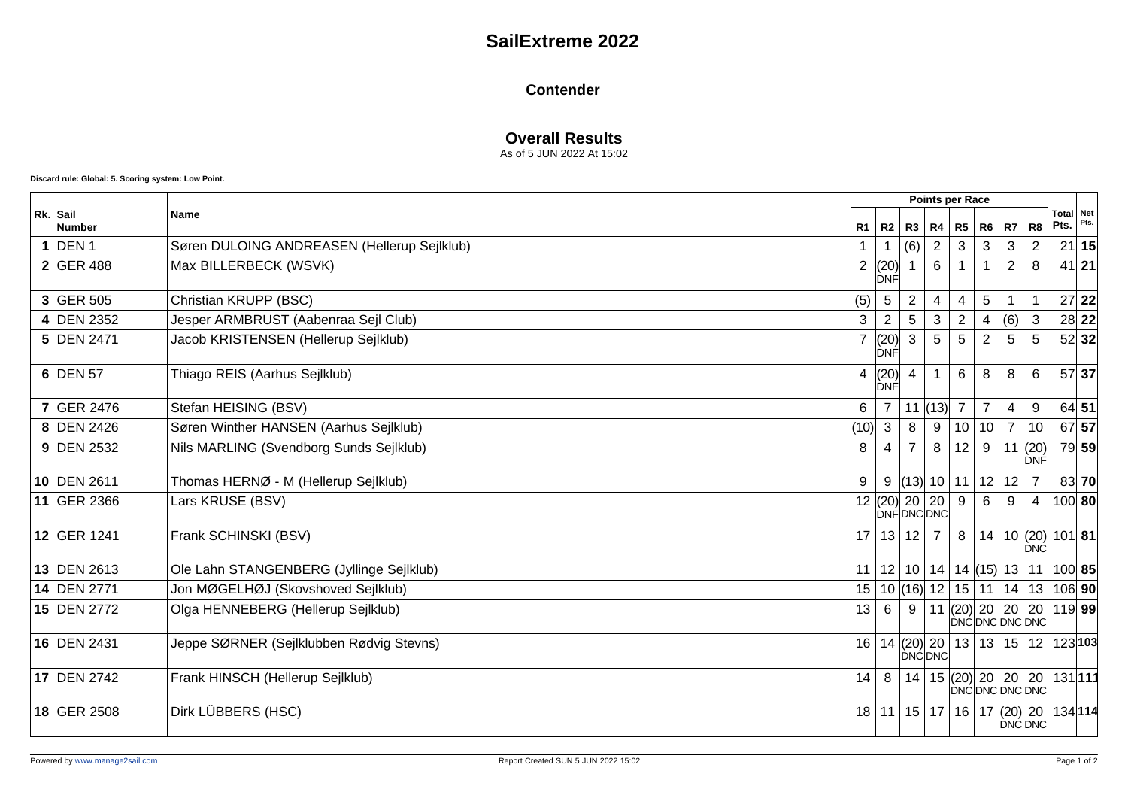# **SailExtreme 2022**

#### **Contender**

### **Overall Results**

As of 5 JUN 2022 At 15:02

**Discard rule: Global: 5. Scoring system: Low Point.**

| Rk. Sail<br><b>Number</b> | <b>Name</b>                                 |                |                     |                | <b>Points per Race</b>            |                                                                   |                 |                |                                 |                          |         |
|---------------------------|---------------------------------------------|----------------|---------------------|----------------|-----------------------------------|-------------------------------------------------------------------|-----------------|----------------|---------------------------------|--------------------------|---------|
|                           |                                             | R1             | R <sub>2</sub>      | R3             | R4                                | $R5$ $R6$                                                         |                 | <b>R7</b>      | R8                              | <b>Total Net</b><br>Pts. | Pts.    |
| DEN <sub>1</sub>          | Søren DULOING ANDREASEN (Hellerup Sejlklub) |                |                     | (6)            |                                   | 3                                                                 | 3               | 3              | 2                               |                          | 21 15   |
| $2$ GER 488               | Max BILLERBECK (WSVK)                       | $\overline{2}$ | (20)<br><b>DNF</b>  |                | 6                                 |                                                                   |                 | 2              | 8                               | $41$ 21                  |         |
| $3$ GER 505               | Christian KRUPP (BSC)                       | (5)            | $5\overline{)}$     | $\overline{2}$ | $\overline{\mathbf{4}}$           | 4                                                                 | $5\phantom{.0}$ |                |                                 |                          | $27$ 22 |
| 4 DEN 2352                | Jesper ARMBRUST (Aabenraa Sejl Club)        | 3              | $\overline{2}$      | 5              | 3                                 | $\overline{c}$                                                    | $\overline{4}$  | (6)            | $\sqrt{3}$                      |                          | 28 22   |
| 5 DEN 2471                | Jacob KRISTENSEN (Hellerup Sejlklub)        |                | (20)<br><b>DNF</b>  | 3              | 5                                 | 5                                                                 | 2               | 5              | 5                               |                          | 52 32   |
| $6$ DEN 57                | Thiago REIS (Aarhus Sejlklub)               | 4              | (20)<br>ÍĎNĚ        | $\overline{4}$ | $\overline{1}$                    | 6                                                                 | 8               | 8              | $6\phantom{1}6$                 |                          | 57 37   |
| <b>7 GER 2476</b>         | Stefan HEISING (BSV)                        | 6              | $\overline{7}$      |                | $ 11 $ (13)                       | $\overline{7}$                                                    | $\overline{7}$  | 4              | 9                               | 64 51                    |         |
| 8 DEN 2426                | Søren Winther HANSEN (Aarhus Sejlklub)      | (10)           | 3                   | 8              | 9                                 | 10 <sup>1</sup>                                                   | 10              | $\overline{7}$ | 10                              |                          | 67 57   |
| $9$ DEN 2532              | Nils MARLING (Svendborg Sunds Sejlklub)     | 8              | 4                   | $\overline{7}$ | 8                                 | 12                                                                | 9               | 11             | (20)<br><b>DNF</b>              |                          | 79 59   |
| 10 DEN 2611               | Thomas HERNØ - M (Hellerup Sejlklub)        | 9              |                     |                | $9$ (13) 10 11 12 12              |                                                                   |                 |                | $\overline{7}$                  |                          | 83 70   |
| 11 GER 2366               | Lars KRUSE (BSV)                            |                | 12 $ (20)  20   20$ |                | DNFDNCDNC                         | 9                                                                 | 6               | 9              | 4                               | 100 80                   |         |
| 12 GER 1241               | Frank SCHINSKI (BSV)                        | 17             | 13 12 7             |                |                                   | 8                                                                 |                 |                | 14   10 $ (20) $<br><b>IDNC</b> | $101$ 81                 |         |
| 13 DEN 2613               | Ole Lahn STANGENBERG (Jyllinge Sejlklub)    | 11             |                     |                | 12 10 14                          | $14$ (15) 13 11                                                   |                 |                |                                 | 100 85                   |         |
| 14 DEN 2771               | Jon MØGELHØJ (Skovshoved Sejlklub)          | 15             |                     |                | 10 $ (16) $ 12   15   11          |                                                                   |                 |                | 14 13                           | 106 90                   |         |
| 15 DEN 2772               | Olga HENNEBERG (Hellerup Sejlklub)          | 13             | 6                   | 9              | 11                                | $\left  (20) \right  20 \left  20 \right $<br><b>DNCDNCDNCDNC</b> |                 |                | 20                              | $119$ 99                 |         |
| 16 DEN 2431               | Jeppe SØRNER (Sejlklubben Rødvig Stevns)    | 16             |                     |                | 14  (20)   20  <br><b>DNCDNC</b>  | 13 13 15 12                                                       |                 |                |                                 | 123 103                  |         |
| 17 DEN 2742               | Frank HINSCH (Hellerup Sejlklub)            | 14             |                     |                | 8   14   15   (20)   20   20   20 | DNCDNCDNCDNC                                                      |                 |                |                                 | 131111                   |         |
| 18 GER 2508               | Dirk LÜBBERS (HSC)                          | 18             |                     |                | 11 15 17                          | 16 17 $(20)$ 20                                                   |                 |                | <b>DNCDNC</b>                   | 134114                   |         |